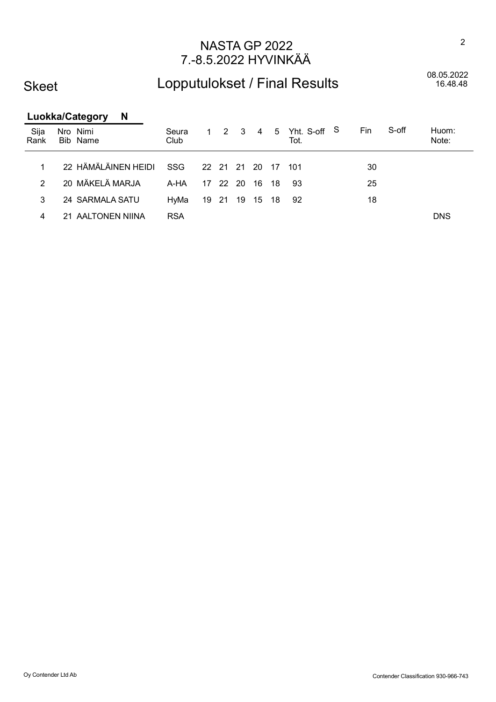### Skeet

## Lopputulokset / Final Results

08.05.2022<br>16.48.48

2

|              | <b>Luokka/Category</b><br><b>N</b> |               |                   |             |      |    |                          |     |       |                |
|--------------|------------------------------------|---------------|-------------------|-------------|------|----|--------------------------|-----|-------|----------------|
| Sija<br>Rank | Nro Nimi<br>Bib Name               | Seura<br>Club | $1\quad 2\quad 3$ |             |      |    | 4 5 Yht. S-off S<br>Tot. | Fin | S-off | Huom:<br>Note: |
|              |                                    |               |                   |             |      |    |                          |     |       |                |
| 1.           | 22 HÄMÄLÄINEN HEIDI                | <b>SSG</b>    |                   | 22 21 21 20 |      |    | 17 101                   | 30  |       |                |
| 2            | 20 MÄKELÄ MARJA                    | A-HA          | 17 22             | -20         | 16   | 18 | -93                      | 25  |       |                |
| 3            | 24 SARMALA SATU                    | HvMa          | 19 21             | - 19        | - 15 | 18 | 92                       | 18  |       |                |
| 4            | 21 AALTONEN NIINA                  | <b>RSA</b>    |                   |             |      |    |                          |     |       | <b>DNS</b>     |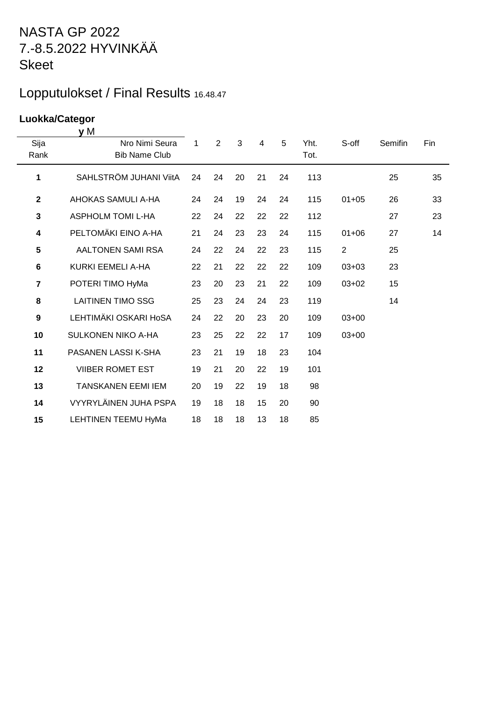## Lopputulokset / Final Results 16.48.47

#### **Luokka/Categor**

|                  | y M                                    |              |                |    |                |    |              |                |         |     |
|------------------|----------------------------------------|--------------|----------------|----|----------------|----|--------------|----------------|---------|-----|
| Sija<br>Rank     | Nro Nimi Seura<br><b>Bib Name Club</b> | $\mathbf{1}$ | $\overline{2}$ | 3  | $\overline{4}$ | 5  | Yht.<br>Tot. | S-off          | Semifin | Fin |
| 1                | SAHLSTRÖM JUHANI ViitA                 | 24           | 24             | 20 | 21             | 24 | 113          |                | 25      | 35  |
| $\mathbf{2}$     | AHOKAS SAMULI A-HA                     | 24           | 24             | 19 | 24             | 24 | 115          | $01 + 05$      | 26      | 33  |
| 3                | <b>ASPHOLM TOMI L-HA</b>               | 22           | 24             | 22 | 22             | 22 | 112          |                | 27      | 23  |
| 4                | PELTOMÄKI EINO A-HA                    | 21           | 24             | 23 | 23             | 24 | 115          | $01 + 06$      | 27      | 14  |
| 5                | AALTONEN SAMI RSA                      | 24           | 22             | 24 | 22             | 23 | 115          | $\overline{2}$ | 25      |     |
| $6\phantom{1}$   | KURKI EEMELI A-HA                      | 22           | 21             | 22 | 22             | 22 | 109          | $03 + 03$      | 23      |     |
| $\overline{7}$   | POTERI TIMO HyMa                       | 23           | 20             | 23 | 21             | 22 | 109          | $03 + 02$      | 15      |     |
| 8                | <b>LAITINEN TIMO SSG</b>               | 25           | 23             | 24 | 24             | 23 | 119          |                | 14      |     |
| $\boldsymbol{9}$ | LEHTIMÄKI OSKARI HOSA                  | 24           | 22             | 20 | 23             | 20 | 109          | $03+00$        |         |     |
| 10               | <b>SULKONEN NIKO A-HA</b>              | 23           | 25             | 22 | 22             | 17 | 109          | $03+00$        |         |     |
| 11               | PASANEN LASSI K-SHA                    | 23           | 21             | 19 | 18             | 23 | 104          |                |         |     |
| 12               | <b>VIIBER ROMET EST</b>                | 19           | 21             | 20 | 22             | 19 | 101          |                |         |     |
| 13               | <b>TANSKANEN EEMI IEM</b>              | 20           | 19             | 22 | 19             | 18 | 98           |                |         |     |
| 14               | VYYRYLÄINEN JUHA PSPA                  | 19           | 18             | 18 | 15             | 20 | 90           |                |         |     |
| 15               | <b>LEHTINEN TEEMU HyMa</b>             | 18           | 18             | 18 | 13             | 18 | 85           |                |         |     |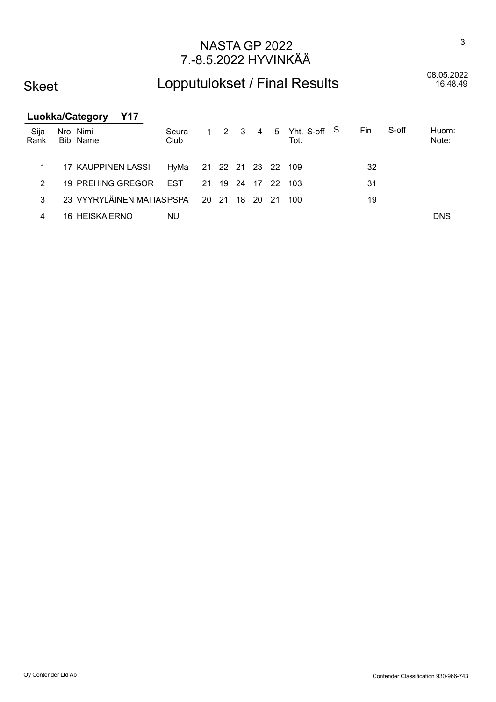### Skeet

## Lopputulokset / Final Results

08.05.2022<br>16.48.49

#### Luokka/Category Y17

| Sija<br>Rank | Nro Nimi<br>Bib Name |                                          | Seura<br>Club           |  |  | 1 2 3 4 5 Yht. S-off S<br>Tot. | Fin | S-off | Huom:<br>Note: |
|--------------|----------------------|------------------------------------------|-------------------------|--|--|--------------------------------|-----|-------|----------------|
|              |                      | 17 KAUPPINEN LASSI                       | HyMa 21 22 21 23 22 109 |  |  |                                | 32  |       |                |
| 2            |                      | 19 PREHING GREGOR EST                    |                         |  |  | 21 19 24 17 22 103             | 31  |       |                |
| 3            |                      | 23 VYYRYLÄINEN MATIASPSPA 20 21 18 20 21 |                         |  |  | 100                            | 19  |       |                |
| 4            |                      | 16 HEISKA ERNO                           | NU.                     |  |  |                                |     |       | <b>DNS</b>     |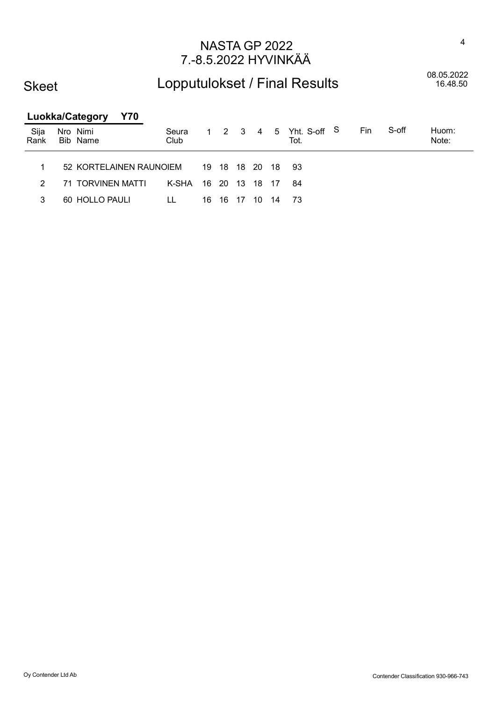### Skeet

## Lopputulokset / Final Results

08.05.2022<br>16.48.50

| <b>Luokka/Category</b> |  |                      | <b>Y70</b>              |               |       |             |      |    |     |                                |     |       |                |
|------------------------|--|----------------------|-------------------------|---------------|-------|-------------|------|----|-----|--------------------------------|-----|-------|----------------|
| Sija<br>Rank           |  | Nro Nimi<br>Bib Name |                         | Seura<br>Club |       |             |      |    |     | 1 2 3 4 5 Yht. S-off S<br>Tot. | Fin | S-off | Huom:<br>Note: |
| 1                      |  |                      | 52 KORTELAINEN RAUNOIEM |               |       | 19 18 18 20 |      |    | -18 | 93                             |     |       |                |
| $\mathcal{P}$          |  | 71 TORVINEN MATTI    |                         | K-SHA         | 16 20 |             | - 13 | 18 | -17 | 84                             |     |       |                |
| 3                      |  | 60 HOLLO PAULI       |                         | LL            | 16    | -16         | -17  | 10 | 14  | - 73                           |     |       |                |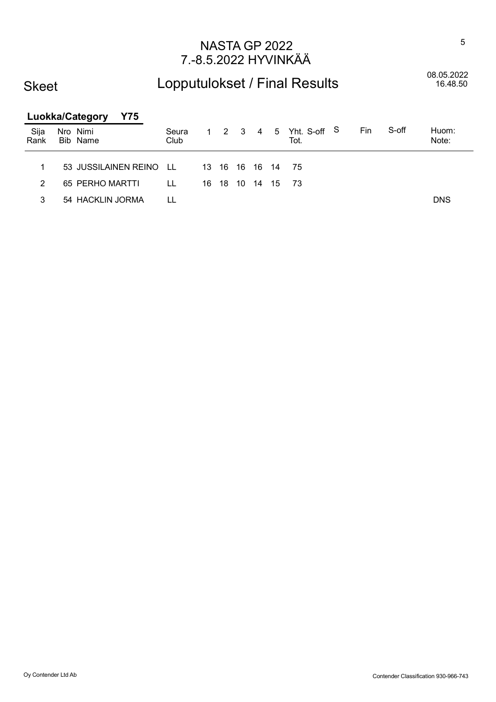### Skeet

## Lopputulokset / Final Results

08.05.2022<br>16.48.50

|              | <b>Luokka/Category</b><br>Y75 |               |    |    |    |    |      |                                |     |       |                |
|--------------|-------------------------------|---------------|----|----|----|----|------|--------------------------------|-----|-------|----------------|
| Sija<br>Rank | Nro Nimi<br>Bib Name          | Seura<br>Club |    |    |    |    |      | 1 2 3 4 5 Yht. S-off S<br>Tot. | Fin | S-off | Huom:<br>Note: |
|              |                               |               |    |    |    |    |      |                                |     |       |                |
| 1            | 53 JUSSILAINEN REINO          | T.L.          | 13 |    |    |    |      | - 75                           |     |       |                |
| 2            | 65 PERHO MARTTI               | LL            | 16 | 18 | 10 | 14 | - 15 | -73                            |     |       |                |
| 3            | 54 HACKLIN JORMA              |               |    |    |    |    |      |                                |     |       | <b>DNS</b>     |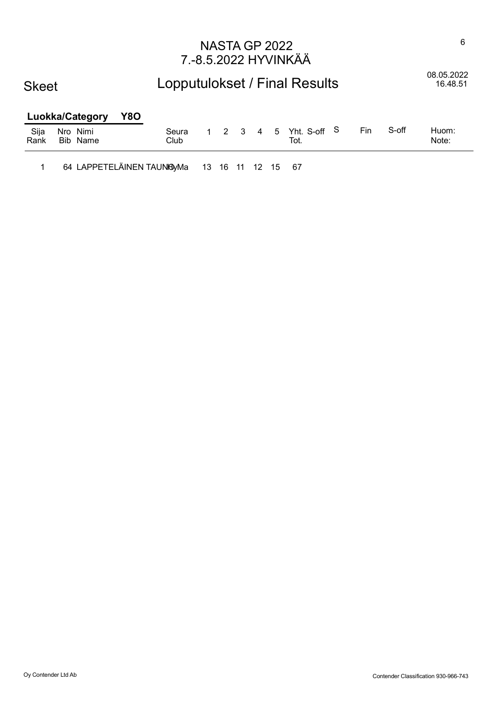#### Skeet

# Lopputulokset / Final Results 08.05.2022

16.48.51

#### Luokka/Category Y8O Sija Nro Nimi Seura 1 2 3 4 5 Yht. S-off Huom: Rank Bib Name Club Tot. Note: S-off

1 64 LAPPETELÄINEN TAUNO yMa 13 16 11 12 15 67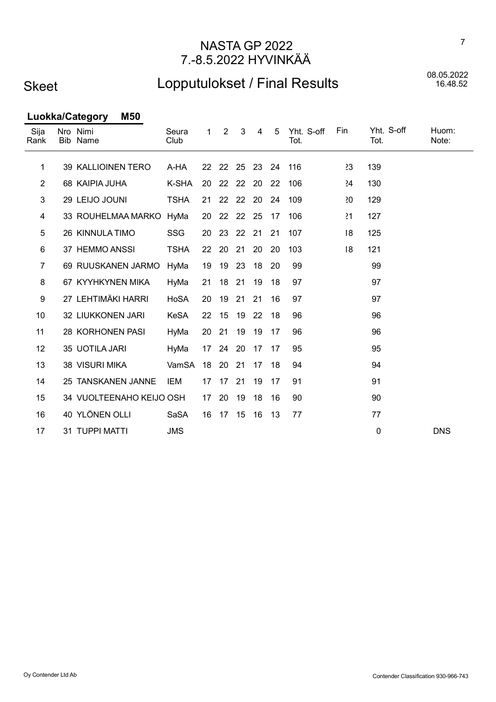### Skeet

## Lopputulokset / Final Results

08.05.2022<br>16.48.52

Luokka/Category M50

| Sija<br>Rank   | Nro Nimi<br>Bib Name     | Seura<br>Club | 1                 | $\overline{2}$ | 3           | 4   | 5  | Yht. S-off<br>Tot. | Fin     | Yht. S-off<br>Tot. | Huom:<br>Note: |
|----------------|--------------------------|---------------|-------------------|----------------|-------------|-----|----|--------------------|---------|--------------------|----------------|
| 1              | 39 KALLIOINEN TERO       | A-HA          |                   |                | 22 22 25 23 |     | 24 | 116                | 23      | 139                |                |
| $\overline{2}$ | 68 KAIPIA JUHA           | K-SHA         | 20                | 22             | 22          | -20 | 22 | 106                | $^{24}$ | 130                |                |
| 3              | 29 LEIJO JOUNI           | <b>TSHA</b>   | 21                | 22             | 22          | -20 | 24 | 109                | 20      | 129                |                |
| 4              | 33 ROUHELMAA MARKO HyMa  |               | 20                | 22             | 22          | -25 | 17 | 106                | 21      | 127                |                |
| 5              | 26 KINNULA TIMO          | SSG           | 20                | 23             | 22          | 21  | 21 | 107                | 8       | 125                |                |
| 6              | 37 HEMMO ANSSI           | <b>TSHA</b>   | 22                | 20             | 21          | 20  | 20 | 103                | 8       | 121                |                |
| $\overline{7}$ | 69 RUUSKANEN JARMO       | HyMa          | 19                | 19             | 23          | 18  | 20 | 99                 |         | 99                 |                |
| 8              | 67 KYYHKYNEN MIKA        | HyMa          | 21                | 18             | 21          | 19  | 18 | 97                 |         | 97                 |                |
| 9              | 27 LEHTIMÄKI HARRI       | HoSA          | 20                | 19             | 21          | 21  | 16 | 97                 |         | 97                 |                |
| 10             | 32 LIUKKONEN JARI        | <b>KeSA</b>   | $22 \overline{ }$ | 15             | 19 22       |     | 18 | 96                 |         | 96                 |                |
| 11             | 28 KORHONEN PASI         | HyMa          | 20                | 21             | 19          | 19  | 17 | 96                 |         | 96                 |                |
| 12             | 35 UOTILA JARI           | HyMa          |                   | 17 24          | 20          | 17  | 17 | 95                 |         | 95                 |                |
| 13             | 38 VISURI MIKA           | VamSA         | 18                | 20             | 21          | 17  | 18 | 94                 |         | 94                 |                |
| 14             | 25 TANSKANEN JANNE       | <b>IEM</b>    | 17                | -17            | 21          | 19  | 17 | 91                 |         | 91                 |                |
| 15             | 34 VUOLTEENAHO KEIJO OSH |               | 17                | 20             | 19          | 18  | 16 | 90                 |         | 90                 |                |
| 16             | 40 YLÖNEN OLLI           | SaSA          | 16                | 17             | 15          | 16  | 13 | 77                 |         | 77                 |                |
| 17             | 31 TUPPI MATTI           | <b>JMS</b>    |                   |                |             |     |    |                    |         | 0                  | <b>DNS</b>     |